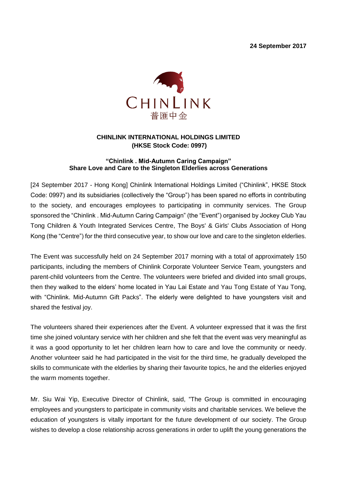**24 September 2017**



## **CHINLINK INTERNATIONAL HOLDINGS LIMITED (HKSE Stock Code: 0997)**

## **"Chinlink . Mid-Autumn Caring Campaign" Share Love and Care to the Singleton Elderlies across Generations**

[24 September 2017 - Hong Kong] Chinlink International Holdings Limited ("Chinlink", HKSE Stock Code: 0997) and its subsidiaries (collectively the "Group") has been spared no efforts in contributing to the society, and encourages employees to participating in community services. The Group sponsored the "Chinlink . Mid-Autumn Caring Campaign" (the "Event") organised by Jockey Club Yau Tong Children & Youth Integrated Services Centre, The Boys' & Girls' Clubs Association of Hong Kong (the "Centre") for the third consecutive year, to show our love and care to the singleton elderlies.

The Event was successfully held on 24 September 2017 morning with a total of approximately 150 participants, including the members of Chinlink Corporate Volunteer Service Team, youngsters and parent-child volunteers from the Centre. The volunteers were briefed and divided into small groups, then they walked to the elders' home located in Yau Lai Estate and Yau Tong Estate of Yau Tong, with "Chinlink. Mid-Autumn Gift Packs". The elderly were delighted to have youngsters visit and shared the festival joy.

The volunteers shared their experiences after the Event. A volunteer expressed that it was the first time she joined voluntary service with her children and she felt that the event was very meaningful as it was a good opportunity to let her children learn how to care and love the community or needy. Another volunteer said he had participated in the visit for the third time, he gradually developed the skills to communicate with the elderlies by sharing their favourite topics, he and the elderlies enjoyed the warm moments together.

Mr. Siu Wai Yip, Executive Director of Chinlink, said, "The Group is committed in encouraging employees and youngsters to participate in community visits and charitable services. We believe the education of youngsters is vitally important for the future development of our society. The Group wishes to develop a close relationship across generations in order to uplift the young generations the